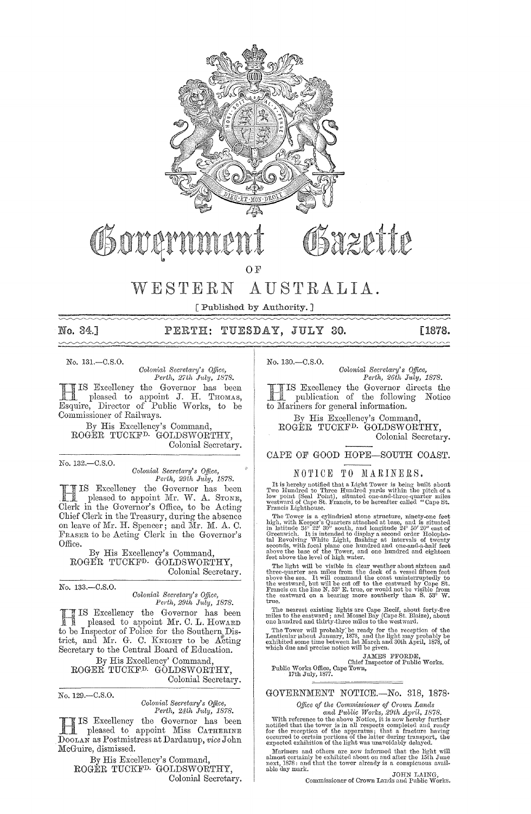

# OSover

Sazette

OF

## WESTERN AUSTRALIA.

[Published by Authority.]

 $\sim\sim\sim\sim\sim$ 

## No. 34.] PERTH: TUESDAY, JULY 30. [1878.

No. 131.-0.8.0.

*Colonial Secretary's Office,*<br>*Perth, 27th July, 1878. Perth, 27th July, 1878.* 

HIS Excellency the Governor has been<br>pleased to appoint J. H. THOMAS, pleased to appoint J. H. THOMAS, Esquire, Director of Public Works, to be Commissioner of Railways.

By His Excellency's Oommand, ROGER TUOKFD- GOLDSWORTHY, Oolonial Secretary.

No. 132.-C.S.O.

*Colonial Secl'etct1'y'S O.tfice, Perth, 29th July, 1878.* 

IS Excellency the Governor has been pleased to appoint Mr. W. A. STONE, Clerk in the Governor's Office, to be Acting Chief Clerk in the Treasury, during the absence on leave of Mr. H. Spencer; and Mr. M. A. C. FRASER to be Acting Olerk in the Governor's Office.

By His Excellency's Oommand, ROGER TUCKF<sup>D.</sup> GOLDSWORTHY, Oolonial Secretary.

No. 133.-C.S.O.

*Colonial Sem'etm'y's Office, Perth, 29th JUUtj, 1878.* 

IS Excellency the Governor has been pleased to appoint Mr. C. L. HowARD to be Inspector of Police for the Southern District, and Mr. G. C. KNIGHT to be Acting Secretary to the Central Board of Education.

By His Excellency' Command, ROGER TUCKFD. GOLDSWORTHY, Colonial Secretary.

No. 129.-C.S.O.

*Colonial Secretal'y's Office, Pel·th, 24th J1lly, 1878.* 

H IS Excellency the Governor has been pleased to appoint Miss CATHERINE DOOLAN as Postmistress at Dardanup, *vice* John McGuire, dismissed.

By His Excellency's Command, ROGER TUCKF<sup>D.</sup> GOLDSWORTHY, Colonial Secretary. No. 130.-0.8.0.

*Colonial Secretary's Office,*<br>Perth, 26th July, 1878. *Perth, 26th July, 1878.* 

Excellency the Governor directs the publication of the following Notice to Mariners for general information.

By His Excellency's Command, ROGER TUCKFD. GOLDSWORTHY, Colonial Secretary.

## CAPE OF GOOD HOPE-SOUTH COAST.

## NOTICE TO MARINERS.

It is hereby notified that a Light Tower is being built about<br>Two Hundred to Three Hundred yards within the pitch of a low point (Seal Point), situated one-and-three-quarter miles<br>westward of Cape St. Francis, to be hereaf

The Tower is a cylindrical stone structure, minety-one feet<br>high, with Keeper's Quarters attached at base, and is situated<br>in latitude 34° 22′ 30″ south, and longitude 24° 50′ 20″ east of<br>Greenwich. It is intended to displ seconds, with focal plane one hundred and one-and-a-half feet<br>above the base of the Tower, and one hundred and eighteen<br>feet above the level of high water.

rect above the tever of might move.<br>The light will be visible in clear weather about sixteen and<br>three-quarter sea miles from the deck of a vessel fifteen feet<br>above the sea. It will command the coast unintermytedly to<br>the

The nearest existing lights are Cape Recif, about forty-five miles to the eastward; and Mossel Bay (Cape St. Blaize), about one hundred and thirty-three miles to the westward.

The Tower will probably be ready for the reception of the<br>Lenticular (about January, 1878, and the light may probably be<br>exhibited some time between 1st March and 30th April, 1878, of<br>which due and precise notice will be g

 $\begin{tabular}{c} $\begin{array}{c} \multicolumn{2}{c}{\text{\small{JAMES}}}\end{array}$ & $\begin{array}{c}{\text{\small{JAMES}}}\end{array}$ & $\begin{array}{c}{\text{\small{JOMES}}}\end{array}$ & $\begin{array}{c}{\text{\small{JOMES}}}\end{array}$ & $\begin{array}{c}{\text{\small{JOMES}}}\end{array}$ & $\begin{array}{c}{\text{\small{JOMES}}}\end{array}$ & $\begin{array}{c}{\text{\small{JOMES}}}\end{array}$ & $\begin{array}{c}{\text{\small{JOMES}}}\end{array}$ & $\begin{array}{c}{\text{\small{JOMES}}}\end{array}$ & $\begin{array}{c}{$ 

GOVERNMENT NOTICE.-No. 318, 1878·

*Office of the Commissioner of Crown Lands* 

 $and Public Works, 29th April, 1878.$  With reference to the above Notice, it is now hereby further notified that the tower is in all respects completed and ready for the reception of the apparatus; that a fracture having occurred to certain

Mariners and others are now informed that the light will Mariners and others are now informed that the light will almost certainly be exhibited about on and after the 15th June next, 1878: and that the tower already is a c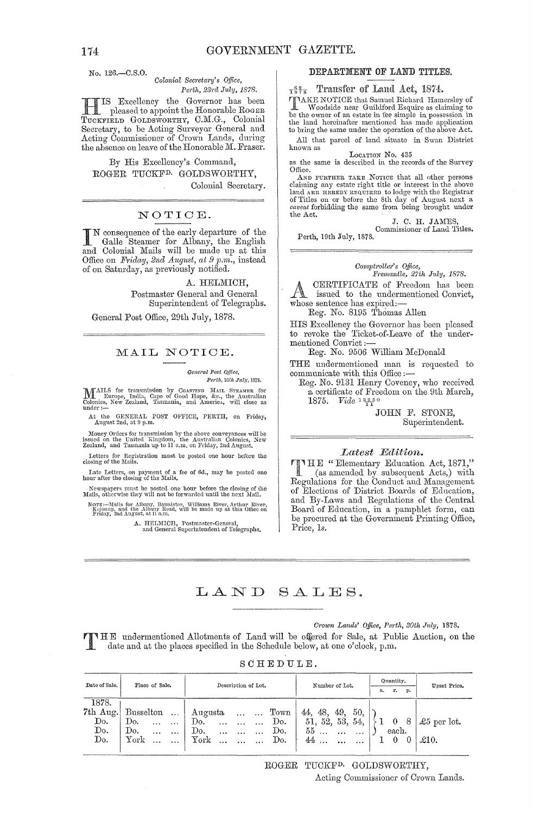No. 126.-C.8.0.

### *Colonial Secretary's Office,* Perth, 23rd July, 1878.

**HIS Excellency the Governor has been**<br>pleased to appoint the Honorable Roger<br>TROGERY OF DEVORTEY OM G. Colonial TUCKFIELD GOLDSWORTHY, C.M.G., Colonial Secretary, to be Acting Surveyor General aud Acting Commissiouer of Crown Lands, during the absence on leave of the Honorable M. Fraser.

By His Excellency's Command, ROGER TUCKFD. GOLDSWORTHY, Colonial Secretary.

## NOTICE.

IN consequence of the early departure of the Galle Steamer for Albany, the English and Colonial Mails will be made up at this Office on *Friday*, 2nd *August*, at 9 p.m., instead of on Saturday, as previously notified.

A. HELMICH, Postmaster General and General Superintendent of Telegraphs.

General Post Office, 29th July, 1878.

## MAIL NOTICE.

General Post Qfflee, *Perth, 10th July, 1878.* 

MAILS for transmission by CoASTING MAIL STEAMER for laurope, India, Cape of Good Hope, &c., the Australian Colonies, New Zealand, Tasmania, and America, will close as ulder:--

At the GENERAL POST OFFICE, PERTH, on Friday, August 2nd, at 9 p.m.

Money Orders for transmission by the above conveyances will be issued on the United Kingdom, the Australian Colonies, New Zealand, and Tasmania up to 11 a.m. on Friday, 2nd August.

Letters for Registration must be posted one hour before the closing of the Mails.

Late Letters, on payment of a fee of 6d., may be posted one hour after the closing of the Mails.

Newspapers must be posted one hour before the closing of the Mails, otherwise they will not be forwarded until the next Mail.

Notts—Mails for Albany, Bannister, Williams River, Arthur River,<br>| Kojonup, and the Albany Road, will be made up at this Office on<br>| Friday, 2nd August, at 11 a.m.

A. HELMICH, Postmaster-General, and General Superintendent of Telegraphs.

## DEPARTMENT OF LAND TITLES.

 $\frac{62}{1878}$  Transfer of Land Act, 1874.

TAKE NOTICE that Samuel Richard Hamersley of **L** Woodside near Guildford Esquire as claiming to be the owner of an estate in fee simple in possession in the land hereinafter mentioned has made application to bring the same under the operation of the above Act.

All that parcel of land situate in Swan District LOCATION No. 435

as the same is described in the records of the Survey  $Ofvec$ 

AND FURTHER TAKE NOTICE that all other persons claiming any estate right title or interest in the above land ARE HEREBY REQUIRED to lodge with the Registrar of Titles on or before the 8th day of August next a *caveat* forbidding the same from being brought under the Act.

J. C. H. JAMES Commissioner of Land Titles.

Perth, 19th July, 1878.

### $Comptroller's$  *Office,*

*Fl'emantle, 27th July, 1878.*  A CERTIFICATE of Freedom has been<br>issued to the undermentioned Convict, whose sentence has expired:-

Reg. No. 8195 Thomas Allen

HIS Excellency the Governor has been pleased to revoke the Ticket-of-Leave of the undermentioned Convict :-

Reg. No. 9506 William McDonald

THE undermentioned man is requested to communicate with this Office:-

Reg. No. 9131 Henry Coveney, who received a certificate of Freedom on the 9th March, 1875. *Vide* <sup>12250</sup>

> JOHN F. STONE, Superintendent.

**LATE " Elementary Education Act, 1871,"** (as amended by action 1 (as amended by subsequent Acts,) with Regulations for the Conduct and Management of Elections of District Boards of Education, and By-Laws and Regulations of the Central Board of Education, in a pamphlet form, can be procured at the Government Printing Office, Price, *Is.* 

## LAND SALES.

*Crown Lands' Office, Perth, 30th July, 1878.* 

IHE undermentioned Allotments of Land will be offered for Sale, at Public Auction, on the date and at the places specified in the Schedule below, at one o'clock, p.m.

|  | ${\tt S}$ ${\tt C}$ ${\tt H}$ ${\tt E}$ ${\tt D}$ ${\tt U}$ ${\tt L}$ ${\tt E}$ . |  |  |  |
|--|-----------------------------------------------------------------------------------|--|--|--|
|  |                                                                                   |  |  |  |

| Date of Sale.                     | Place of Sale.               | Description of Lot.                                   | Number of Lot.            | Quantity.       | Unset Price.         |  |
|-----------------------------------|------------------------------|-------------------------------------------------------|---------------------------|-----------------|----------------------|--|
|                                   |                              |                                                       |                           | r.<br>р.<br>a.  |                      |  |
| 1878.                             |                              |                                                       |                           |                 |                      |  |
| 7th Aug.                          | Busselton<br>$\sim 10$       | $_{\mathrm{Town}}$<br>Augusta<br><b>Castle Castle</b> | 50.<br>-48.<br>49.<br>44. |                 |                      |  |
| Do.                               | Do.<br>$\ddotsc$<br>$\cdots$ | Do.<br>Do.<br>$\cdots$<br>$\cdots$<br>$\cdots$        | 51, 52, 53,<br>54.        | - 8<br>$\theta$ | $\pounds 5$ per lot. |  |
| $\mathop{\mathrm{Do}}\nolimits$ . | Do.<br>.<br>                 | Do.<br>Do.<br>$\cdots$<br>$\cdots$<br>$\cdots$        | 55<br>$\cdots$<br>.       | each.           |                      |  |
| Do.                               | York<br>$\cdots$             | ${\rm York}$<br>Do.<br>$\cdot \cdot$                  | 44                        |                 | $\pounds10.$         |  |
|                                   |                              |                                                       |                           |                 |                      |  |

ROGER TUCKFD. GOLDSWORTHY, Acting Commissioner of Crown Lands.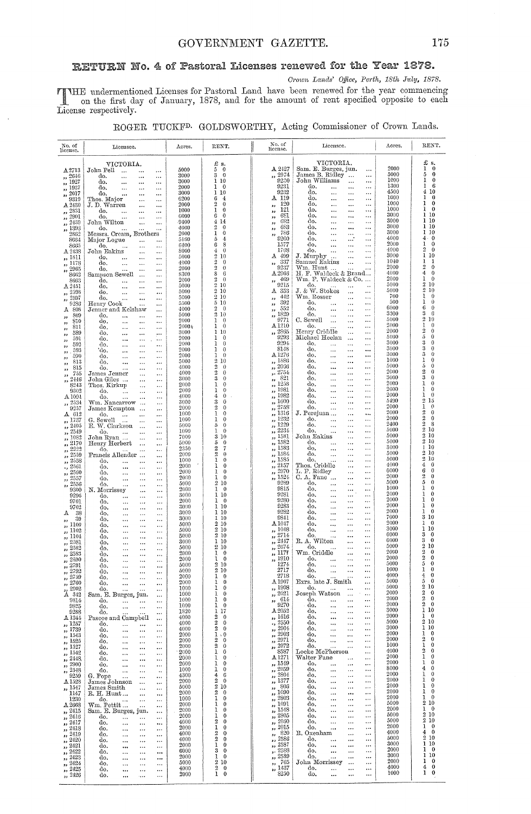## RETURN No. 4 of Pastoral Licenses renewed for the Year 1878.

Crown Lands' Office, Perth, 18th July, 1878.

THE undermentioned Licenses for Pastoral Land have been renewed for the year commencing<br>on the first day of January, 1878, and for the amount of rent specified opposite to each<br>License respectively.

|  |  | ROGER TUCKF <sup>D.</sup> GOLDSWORTHY, Acting Commissioner of Crown Lands. |  |  |  |  |  |  |
|--|--|----------------------------------------------------------------------------|--|--|--|--|--|--|
|--|--|----------------------------------------------------------------------------|--|--|--|--|--|--|

| No. of<br>license.                            | Licensee.                                                                              | Acres.          | RENT.                                                    | No. of<br>license.                                         | Licensee.                                                                                               | Acres.       | RENT.                                                |
|-----------------------------------------------|----------------------------------------------------------------------------------------|-----------------|----------------------------------------------------------|------------------------------------------------------------|---------------------------------------------------------------------------------------------------------|--------------|------------------------------------------------------|
|                                               | VICTORIA.                                                                              |                 | £ s.                                                     |                                                            | VICTORIA.                                                                                               |              | £ s.                                                 |
| A2713<br>2646                                 | John Pell<br>$\sim$<br><br>$\cdots$<br>do.                                             | 5000<br>3000    | 5<br>$\bf{0}$<br>3<br>$\theta$                           | A 2427<br>,, 2974                                          | Sam. E. Burges, jun.<br>$\ddotsc$<br>James B. Ridley<br>$\cdots$                                        | 2000<br>5000 | ı<br>$\bf{0}$<br>5<br>$\bf{0}$                       |
| $\frac{1}{2}$ , 1927                          | $\ddotsc$<br><br>$\cdots$<br>do.<br>$\cdots$<br><br>                                   | 3000            | 1 10                                                     | 9230                                                       | John Williams<br>$\cdots$<br>                                                                           | 1000<br>1300 | $\bf{0}$<br>L<br>6<br>1                              |
| , 1937<br>$\frac{2017}{2017}$                 | do.<br>$\ddotsc$<br>$\cdots$<br><br>do.<br><br>$\ddotsc$<br>$\cdots$                   | 2000<br>3000    | $\mathbf{0}$<br>ı<br>110                                 | 9231<br>9232                                               | do.<br>$\ddotsc$<br>$\cdots$<br>$\ddotsc$<br>do.<br>$\cdots$<br>$\ddotsc$<br>$\ddotsc$                  | 4500         | 10<br>4                                              |
| 9319                                          | Thos. Major<br>$\cdots$<br>                                                            | 6200            | 6<br>4<br>2                                              | A 119<br>120                                               | do.<br>$\cdots$<br>$\ddotsc$<br>$\cdots$                                                                | 1000<br>1000 | $\theta$<br>ı<br>$\bf{0}$<br>1                       |
| A 2430<br>,, 2831                             | J.D. Warren<br>$\ldots$<br><br>do.<br>$\ddotsc$<br><br>$\cdots$                        | 2000<br>1000    | $\bf{0}$<br>1<br>0                                       | ,,<br>121<br>,,                                            | do.<br>$\cdots$<br>$\ddotsc$<br>$\cdots$<br>do.<br>$\ddotsc$<br>$\cdots$<br>$\ddotsc$                   | 1000         | $\bf{0}$<br>1                                        |
| $\frac{1}{2901}$                              | do.<br>$\cdots$<br>$\cdots$<br>                                                        | G000<br>$-9400$ | $\theta$<br>6<br>-14<br>4                                | 681<br>,,<br>682                                           | do.<br>$\ddotsc$<br>$\cdots$<br>$\ddotsc$<br>do.<br>$\cdots$                                            | 3000<br>3000 | 10<br>1<br>10<br>ı                                   |
| $\frac{2439}{2439}$<br>,, 1393                | John Wilton<br>$\ldots$<br><br>do.<br>$\cdots$                                         | 4000            | 2<br>$\bf{0}$                                            | ,,<br>683<br>,,                                            | $\ddotsc$<br>$\cdots$<br>do.<br>$\cdots$<br>$\ldots$<br>$\ddotsc$                                       | 3000         | -10<br>L                                             |
| 2862<br>8664                                  | Messrs. Cream, Brothers                                                                | 2000<br>5160    | ı<br>0<br>$\overline{\bf 4}$<br>5                        | 786<br>,,<br>9200                                          | do.<br>$\cdots$<br>$\cdots$<br>$\cdots$<br>đο.<br>$\ddotsc$<br>$\cdots$<br>$\cdots$                     | 3000<br>4000 | 10<br>1<br>$\theta$<br>4                             |
| 8665                                          | Major Logue<br>$\ldots$<br><br>do.<br>$\overline{\phantom{a}}$<br>$\ldots$<br>$\ldots$ | 6400            | 8<br>6                                                   | 1577                                                       | do.<br>$\ddotsc$<br>$\cdots$<br>$\cdots$                                                                | 2000<br>4000 | 1<br>$\theta$<br>$\overline{2}$                      |
| A 2438<br>,, 1811                             | John Eakins<br>$\cdots$<br>$\ldots$<br>do.<br>$\cdots$<br><br>$\cdots$                 | 8000<br>5000    | $\bf{0}$<br>4<br>$\overline{2}$<br>10                    | 1768<br>A 499                                              | do.<br>$\ddotsc$<br>$\cdots$<br>$\cdots$<br>J. Murphy<br><br>$\ddotsc$                                  | 3000         | $\bf{0}$<br>1<br>10                                  |
| ,, 1178                                       | do.<br>$\ldots$<br><br>$\ldots$                                                        | 4000            | $\overline{2}$<br>$\bf{0}$<br>$\overline{2}$<br>$\bf{0}$ | 337<br>,,<br>9237                                          | Samuel Eakins<br>$\ddotsc$<br>$\cdots$                                                                  | 1040<br>2000 | 1<br>1<br>$\overline{2}$<br>$\theta$                 |
| $\frac{1}{2965}$<br>8662                      | do.<br>$\ddotsc$<br>$\ldots$<br><br>Sampson Sewell<br>$\ddotsc$<br>$\ldots$            | 2000<br>8300    | s<br>6                                                   | A 2966                                                     | Wm. Hunt<br>$\ddotsc$<br>$\cdots$<br>H. F. Waldeck & Brand                                              | 4000         | $\overline{4}$<br>$\theta$                           |
| 8663                                          | do.<br>$\ddotsc$<br><br>$\cdots$                                                       | 2000<br>5000    | $\overline{2}$<br>$\bf{0}$<br>210                        | 469<br>,,<br>9215                                          | Wm. F. Waldeck & Co.<br>do.                                                                             | 2000<br>5000 | 1<br>$\theta$<br>2<br>10                             |
| A2451<br>2598<br>,,                           | do.<br>$\ddotsc$<br><br>$\cdots$<br>do.<br>$\ldots$<br>$\ldots$<br>$\cdots$            | 5000            | $2\,10$                                                  | A 353                                                      | $\ldots$<br>$\ddot{\phantom{0}}$<br>$\cdots$<br>$J.~\&~W.~\allowbreak$ Stokes<br>$\ddotsc$<br>$\ddotsc$ | 5000         | 2<br>10                                              |
| 2597<br>,,<br>9286                            | do.<br><br>$\ddotsc$<br>$\ddotsc$                                                      | 5000<br>5500    | 210<br>510                                               | 442<br>,,<br>392                                           | Wm. Rosser<br>$\ddotsc$<br>$\cdots$<br>do.<br>$\cdots$                                                  | 700<br>500   | 1<br>$\theta$<br>1<br>$\theta$                       |
| 808<br>А                                      | Henry Cook<br>$\ddotsc$<br>$\cdots$<br>Jenner and Kelshaw<br>$\ldots$                  | 4000            | 2<br>$\overline{0}$                                      | $, \,$<br>552<br>,,                                        | <br>$\cdots$<br>do.<br><br>$\ddotsc$<br>$\ldots$                                                        | 6000         | 6<br>$\theta$                                        |
| 809<br>38<br>810                              | do.<br>$\cdots$<br>$\cdots$<br><br>do.                                                 | 5000<br>2000    | 2 10<br>ı<br>$\theta$                                    | 1829<br>رر<br>9771                                         | do.<br>$\ddotsc$<br>$\cdots$<br>$\cdots$<br>C. Sewell<br>$\ddotsc$<br>$\ddots$<br>$\ddotsc$             | 3300<br>5000 | 3<br>6<br>$\overline{2}$<br>10                       |
| ,,<br>811<br>,,                               | $\cdots$<br><br>$\cdots$<br>do,<br>$\ddotsc$<br>$\ddotsc$<br>$\cdots$                  | 20004           | $\theta$<br>1                                            | A <sub>1210</sub>                                          | do.<br>$\cdots$<br>$\ddotsc$                                                                            | 2000<br>2000 | 1<br>$\theta$<br>$\overline{2}$<br>$\theta$          |
| 589<br>,,<br>591                              | do.<br>$\cdots$<br>$\ddotsc$<br>$\ddotsc$<br>do.<br>$\cdots$<br>$\ddotsc$<br>$\ddotsc$ | 3000<br>2000    | 110<br>$\theta$<br>ı                                     | ,, 2865<br>9293                                            | Henry Criddle<br>$\ddotsc$<br>$\ddotsc$<br>Michael Heelan<br>$\cdots$<br>$\ddotsc$                      | 5000         | $\tilde{\mathfrak{p}}$<br>$\theta$                   |
| ,,<br>592<br>,,                               | do.<br>$\cdots$<br>$\ddotsc$<br>$\ddotsc$                                              | 2000            | $\bf{0}$<br>ı                                            | 9294                                                       | do.<br>$\cdots$<br>$\ddotsc$<br>$\ddotsc$                                                               | 3000<br>3000 | 3<br>$\theta$<br>3<br>$\theta$                       |
| 593<br>,,<br>590                              | 'do.<br>$\ddotsc$<br>$\ddotsc$<br>$\cdots$<br>do.<br>$\ddotsc$<br><br>$\cdots$         | 2000<br>2000    | 0<br>ı<br>$\theta$<br>1                                  | 8148<br>$\rm A\,1276$                                      | do.<br>$\cdots$<br>$\cdots$<br>$\ddotsc$<br>do.<br>$\cdots$<br>$\cdots$<br>$\ddotsc$                    | 3000         | 3<br>$\theta$                                        |
| ,,<br>813<br>,,                               | do.<br><br>$\ddotsc$<br>$\cdots$                                                       | 5000<br>4000    | $\overline{2}$<br>10<br>$\overline{2}$<br>$\theta$       | ,, 1886<br>2066                                            | do.<br>$\ldots$<br><br>$\ddotsc$<br>do.                                                                 | 1000<br>5000 | 1<br>$\Omega$<br>5<br>$\Omega$                       |
| 815<br>,,<br>755<br>,,                        | do.<br><br>$\cdots$<br>$\cdots$<br>James Jenner<br>$\ddotsc$<br>$\cdots$               | 4000            | $\overline{2}$<br>0                                      | ,<br>, 2754                                                | $\cdots$<br>$\cdots$<br>$\ddotsc$<br>do.<br>$\cdots$<br>$\cdots$<br>$\cdots$                            | 2000         | 2<br>$\theta$                                        |
| 2446<br>,,                                    | John Giles<br>$\cdots$<br>$\ldots$                                                     | 3000<br>2000    | 3<br>$\theta$<br>ı<br>$\theta$                           | 821<br>,,<br>1258                                          | do.<br>$\cdots$<br>$\cdots$<br>$\cdots$<br>do.<br>$\cdots$                                              | 3000<br>2000 | 3<br>$\Omega$<br>1<br>0                              |
| 8243<br>9302                                  | Thos. Kirkup<br>$\ddotsc$<br>$\cdots$<br>do.<br>$\ddotsc$<br>$\cdots$<br>$\cdots$      | 2000            | 1<br>$\mathbf 0$                                         | ,,<br>1981<br>,,                                           | $\ldots$<br>$\cdots$<br>do.<br>$\cdots$<br>$\ldots$<br>$\cdots$                                         | 2000         | 1<br>$\theta$                                        |
| A.1094<br>2534                                | do.<br>$\ddotsc$<br>$\ddotsc$<br>$\ddotsc$<br>Wm. Nancarrow                            | 4000<br>3000    | 4<br>$\theta$<br>3<br>$\mathbf 0$                        | 1982<br>,,<br>,, 1600                                      | do.<br>$\cdots$<br>$\cdots$<br>$\cdots$<br>do.<br>$\cdots$<br>$\cdots$<br>$\cdots$                      | 2000<br>5490 | ı<br>$\theta$<br>$\overline{2}$<br>15                |
| دد<br>9257                                    | $\cdots$<br>James Kempton<br>$\ddotsc$                                                 | 2000            | $\overline{2}$<br>$\theta$                               | 2758<br>$\overline{\mathbf{z}}$                            | do.<br><br>$\cdots$<br>$\cdots$                                                                         | 2000         | 1<br>$\Omega$                                        |
| $A$ 612<br>", 1737                            | do.<br>$\ddotsc$<br>$\cdots$<br>$\cdots$<br>G. Sewell<br>$\ddotsc$<br>$\cdots$         | 1000<br>1000    | 1<br>$\mathbf{0}$<br>$\theta$<br>1                       | ,, 1316<br>1232<br>,,                                      | J. Perejuan<br>$\cdots$<br>$\ddotsc$<br>do.<br>$\cdots$<br>$\ddotsc$<br>$\ddotsc$                       | 2000<br>2000 | 2<br>$\theta$<br>$\overline{2}$<br>$\theta$          |
| 2405<br>,,                                    | E. W. Clarkson<br>$\ddotsc$<br>$\cdots$                                                | 5000            | 5<br>$\theta$                                            | 1229<br>$\overline{\mathbf{z}}$<br>2234                    | do.<br><br>$\ldots$<br>$\sim$ $\sim$                                                                    | 2400<br>5000 | $\overline{2}$<br>8<br>$\overline{2}$<br>10          |
| 2549<br>,,<br>1082<br>,,                      | do.<br>$\ldots$<br><br>$\cdots$<br>John Ryan<br>$\ddotsc$<br>$\cdots$                  | 1000<br>7000    | 1<br>$\theta$<br>3<br>10                                 | ,,<br>1581<br>$\overline{\mathbf{z}}$                      | do.<br>$\ddotsc$<br>$\ddotsc$<br>$\cdots$<br>John Eakins<br>$\cdots$<br>$\cdots$                        | 5000         | $\overline{2}$<br>10                                 |
| 2170<br>r,                                    | Henry Herbert<br>$\ddotsc$<br>$\ddotsc$                                                | 5000            | 5<br>$\theta$<br>2                                       | ,, 1582<br>1583                                            | do.<br>$\ldots$<br>$\ddots$<br>$\sim$ $\sim$<br>do.                                                     | 5000<br>3000 | 2<br>10<br>$\mathbf{I}$<br>10                        |
| 2222<br>$\overline{\mathbf{z}}$<br>2559<br>33 | do.<br>$\cdots$<br>$\ddotsc$<br>$\cdots$<br>Francis Allender<br>$\ddotsc$<br>$\ddotsc$ | 2350<br>2000    | 7<br>2<br>$\theta$                                       | ,,<br>,, 1584                                              | <br>$\cdots$<br>$\ldots$<br>do,<br><br>$\cdots$<br>                                                     | 5000         | 2<br>10                                              |
| 2558<br>,,                                    | do.<br>$\cdots$<br>$\ddotsc$<br>$\cdots$                                               | 1000<br>2000    | 1<br>$\bf{0}$<br>$\theta$<br>ı                           | ,, 1585<br>2157                                            | do.<br>$\ddotsc$<br>$\ddotsc$<br>Thos. Criddle<br>                                                      | 5000<br>4000 | $\overline{2}$<br>10<br>$\boldsymbol{4}$<br>$\theta$ |
| 2561<br>٠,<br>2560<br>55                      | do.<br><br><br>$\ddotsc$<br>do.<br>$\ldots$<br>$\ddotsc$<br>                           | 2000            | 1<br>$\theta$                                            | $\overline{\mathbf{z}}$<br>2970<br>$\overline{\mathbf{r}}$ | $\cdots$<br>L. F. Ridley<br>$\cdots$<br>$\cdots$                                                        | 6000         | 6<br>$\theta$                                        |
| 2557<br>22<br>2556                            | do.<br><br><br>$\ddotsc$                                                               | 2000<br>5000    | $\Omega$<br>1<br>$\boldsymbol{2}$<br>10                  | 1524<br>,,<br>9289                                         | C. A. Fane<br>$\cdots$<br>$\cdots$<br>do.<br><br>$\ddotsc$<br>$\ldots$                                  | 2000<br>5000 | $\overline{2}$<br>$\bf{0}$<br>5<br>$\boldsymbol{0}$  |
| 33<br>9300                                    | do.<br>$\ddotsc$<br>$\ddotsc$<br><br>N. Morrissey<br><br>                              | 2000            | 1<br>$^{\circ}$                                          | 9815                                                       | do.<br>$\cdots$<br>$\cdots$<br>$\ldots$                                                                 | 1000         | 1<br>0                                               |
| 9296<br>9701                                  | do.<br><br><br><br>do.<br><br>$\ddotsc$                                                | 3000<br>2000    | 1<br>-10<br>ı<br>- 0                                     | 9281<br>9280                                               | do.<br>$\ldots$<br>$\cdots$<br>$\ldots$<br>do.<br>$\ddotsc$<br>$\cdots$<br>$\ldots$                     | 2000<br>2000 | 0<br>1<br>0<br>1                                     |
| 9702                                          | <br>do.<br>$\ddotsc$<br><br>$\ldots$                                                   | 3000            | 1 10                                                     | 9283                                                       | do.<br>$\ddotsc$<br>$\ddotsc$<br>$\ddotsc$                                                              | 2000<br>2000 | $\bf{0}$<br>ı<br>$\bf{0}$<br>ı                       |
| -38<br>А<br>39<br>22                          | do.<br><br><br>$\ddotsc$<br>do.<br><br><br>$\cdots$                                    | 3000<br>3000    | 1 10<br>1 10                                             | 9282<br>9841                                               | do.<br><br>$\ddots$<br>$\ddotsc$<br>do.<br>$\cdots$<br>$\cdots$<br>$\ddotsc$                            | 7000         | 3<br>10                                              |
| ,, 1100                                       | do.<br><br>$\cdots$<br>$\cdots$                                                        | 5000            | 210<br>210                                               | A 1047<br>,, 1048                                          | do.<br>$\ddotsc$<br><br><br>do.                                                                         | 2000<br>3000 | ı<br>$\theta$<br>10<br>ı                             |
| ,, 1102<br>,, 1104                            | do,<br>$\ddotsc$<br><br>$\cdots$<br>do.<br>$\ddotsc$<br>$\ddotsc$<br>                  | 5000<br>5000    | 210                                                      | ,, 2714                                                    | <br><br>$\ddotsc$<br>do.<br><br>$\ddotsc$<br>                                                           | 6000         | 3<br>$\theta$                                        |
| ,, 2581<br>, 2582                             | do.<br>$\ddotsc$<br><br>                                                               | 3000<br>5000    | 110<br>210                                               | ,, 2447<br>,, 2674                                         | R. A. Wilton<br><br>$\ddotsc$<br>do.<br>$\cdots$<br>$\ddotsc$                                           | 6000<br>5000 | 3<br>$\theta$<br>$\overline{2}$<br>10                |
| 2583<br>$^{\prime}$                           | do.<br>$\ddotsc$<br><br>$\ddotsc$<br>do.<br><br><br>                                   | 2000            | T.<br>$^{\circ}$                                         | 1177<br>,,                                                 | Wm. Criddle<br>$\ddotsc$<br>                                                                            | 2000         | $\overline{2}$<br>$\theta$                           |
| ,, 2590<br>,, 2791                            | do.<br>,<br>$\ddotsc$<br><br>do.                                                       | 2000<br>5000    | ı<br>$\Omega$<br>210                                     | 1910<br>$\ddot{\phantom{1}}$<br>1274                       | do.<br>$\ldots$<br>$\ddotsc$<br>$\cdots$<br>do,<br><br>$\cdots$<br>$\cdots$                             | 2000<br>5000 | $\overline{2}$<br>$\theta$<br>5<br>$\theta$          |
| ,, 2792                                       | <br><br><br>do.<br>                                                                    | 5000            | 210                                                      | 2717                                                       | do.<br>$\cdots$<br>$\ldots$<br>                                                                         | 1000         | $\theta$<br>ı<br>0                                   |
| ,, 2759<br>,, 2760                            | do.<br>$\ddotsc$<br>do.<br>$\ddotsc$                                                   | 2000<br>2000    | $\bf{0}$<br>ı<br>1<br>$\bf{0}$                           | 2718<br>$\Lambda\,1907$                                    | do.<br>$\ldots$<br>Exrs. late J. Smith<br>$\cdots$                                                      | 4000<br>5000 | 4<br>$\theta$<br>5                                   |
| ,, 2902                                       | do.<br><br>$\cdots$<br>                                                                | 1000<br>1000    | 1<br>$\bf{0}$<br>1<br>0                                  | ,, 1908<br>,, 2021                                         | do.<br>$\sim$<br>$\ldots$<br>$\cdots$<br>Joseph Watson<br>$\ldots$<br>$\cdots$                          | 5000<br>2000 | $\,2$<br>10<br>$\boldsymbol{2}$<br>$\theta$          |
| A 342<br>9814                                 | Sam. E. Burges, jun.<br>$\ddotsc$<br>do.<br><br>$\ddotsc$<br>                          | 1000            | 1<br>$\bf{0}$                                            | 614<br>99                                                  | do.<br>$\cdots$<br>$\cdots$<br>                                                                         | 2000         | $\mathbf 2$<br>$\mathbf 0$                           |
| 9825<br>9288                                  | do.<br><br>$\ldots$<br><br>do.                                                         | 1000<br>1820    | ı<br>$\bf{0}$<br>1<br>17                                 | 9270<br>A2052                                              | do.<br>$\ldots$<br>$\ldots$<br>$\cdots$<br>do,<br><br>$\cdots$<br>$\cdots$                              | 2000<br>3000 | $\boldsymbol{2}$<br>$\mathbf{0}$<br>1<br>10          |
| A 1344                                        | <br>Pascoe and Campbell<br>                                                            | 4000            | 2<br>0                                                   | ,, 1616                                                    | do.<br>$\cdots$<br>$\cdots$<br>$\cdots$                                                                 | 2000         | $\bf{0}$<br>ı                                        |
| ,, 1257<br>,, 1739                            | do.<br><br><br><br>do.<br><br><br>$\ldots$                                             | 4000<br>4000    | $\boldsymbol{2}$<br>0<br>2<br>0                          | 2550<br>٠,<br>2904<br>,,                                   | do.<br>$\ddotsc$<br>$\ddotsc$<br>$\cdots$<br>do.<br>$\cdots$<br>$\ldots$<br>$\cdots$                    | 5000<br>3000 | 2<br>10<br>ı<br>10                                   |
| ,, 1543                                       | do.<br>$\cdots$<br><br>$\ldots$                                                        | 2000            | 1<br>$\bf{0}$                                            | 2903<br>,,                                                 | do.<br>$\cdots$<br>$\ddotsc$<br>$\ddotsc$                                                               | 2000<br>2000 | $\mathbf 0$<br>ı<br>2<br>$\mathbf{0}$                |
| ,, 1525<br>,, 1527                            | do.<br>$\cdots$<br>$\cdots$<br>$\ldots$<br>do.<br><br>$\cdots$<br>$\cdots$             | 2000<br>2000    | 2<br>0<br>$\boldsymbol{2}$<br>0                          | 2971<br>33<br>2972<br>,,                                   | do.<br>$\cdots$<br><br>$\ddotsc$<br>do.<br><br>$\cdots$<br>$\ddotsc$                                    | 1000         | ı<br>0                                               |
| ,, 1542                                       | do.<br><br>$\cdots$<br>$\ddotsc$                                                       | 2000            | ı<br>0                                                   | 8587<br>A 1271                                             | Locke McPherson<br>$\ddotsc$<br>Walter Fane                                                             | 4000<br>2000 | 2<br>0<br>ı<br>0                                     |
| , 2448<br>, 2900                              | do.<br>$\ddotsc$<br><br><br>do.<br>$\ddotsc$<br>$\cdots$<br>$\cdots$                   | 2000<br>2000    | 1<br>0<br>ı<br>0                                         | ,, 1549                                                    | $\ldots$<br>$\cdots$<br>do.<br><br>$\ddotsc$<br>$\ddotsc$                                               | 2000         | 1<br>0                                               |
| , 2548<br>9259                                | do.<br>$\ddotsc$<br>$\cdots$<br>$\ddotsc$                                              | 1000<br>4300    | 1<br>0<br>4<br>6                                         | ,, 2059<br>2804                                            | do.<br><br>$\cdots$<br>$\cdots$<br>do,<br>$\ldots$<br>$\cdots$<br>$\ddotsc$                             | 8000<br>2000 | 4<br>0<br>ı<br>0                                     |
| A 1528                                        | G. Pope<br><br>$\cdots$<br>$\cdots$<br>James Johnson<br><br>$\cdots$                   | 2000            | 2<br>0                                                   | ,,<br>,, 1377                                              | do.<br>$\ldots$<br>$\cdots$<br>$\ddotsc$                                                                | 2000         | $\bf{0}$<br>1                                        |
| ,, 1547<br>1147                               | James Smith<br>$\ddotsc$<br>$\ddotsc$<br>R. H. Hunt                                    | 5000<br>2000    | $\boldsymbol{2}$<br>10<br>2<br>0                         | -806<br>,,<br>,, 1090                                      | do.<br><br>$\cdots$<br>$\cdots$<br>do.<br><br><br>$\cdots$                                              | 2000<br>2000 | 1<br>0<br>$\bf{0}$<br>ı                              |
| 1230                                          | $\ldots$<br>$\ddotsc$<br>do.<br>$\ddotsc$<br>$\ddotsc$<br>$\ddotsc$                    | 1000            | 1<br>0                                                   | 2803<br>99.                                                | do.<br><br>$\cdots$<br>$\cdots$                                                                         | 2000         | $\bf{0}$<br>1<br>10                                  |
| A2668<br>,, 2415                              | Wm. Pettit<br>$\cdots$<br>$\ddotsc$<br>Sam. E. Burges, jun.<br>$\ddotsc$               | 2000<br>2000    | ı<br>$\mathbf 0$<br>ı<br>0                               | ,, 1091<br>,, 1548                                         | do.<br><br>$\cdots$<br>$\cdots$<br>do.<br><br>$\cdots$<br>$\ddotsc$                                     | 5000<br>2000 | 2<br>1<br>$\bf{0}$                                   |
| ,, 2416                                       | do.<br>$\ldots$<br>$\ddotsc$<br>$\ddotsc$                                              | 2000            | ı<br>0                                                   | ,, 2805                                                    | do.<br><br>$\ddotsc$<br>$\ddotsc$                                                                       | 5000<br>5000 | 10<br>$\boldsymbol{2}$<br>$\overline{2}$<br>-10      |
| $\frac{1}{2417}$<br>$\frac{7}{2418}$          | do.<br><br>$\ddotsc$<br>$\ddotsc$<br>do.<br>$\ddotsc$<br>$\cdots$<br>$\ddotsc$         | 4000<br>2000    | $\boldsymbol{2}$<br>0<br>1<br>0                          | 2050<br>,,<br>2015<br>,,                                   | do.<br><br>$\cdots$<br>$\ddotsc$<br>do.<br>$\ddotsc$<br>$\cdots$<br>$\ddotsc$                           | 2000         | 1<br>$\bf{0}$                                        |
| $\frac{1}{2419}$                              | do.<br>$\ddotsc$<br>$\ddotsc$<br>$\ddotsc$                                             | 4000            | 2<br>0<br>$\boldsymbol{2}$                               | 820<br>,,                                                  | R. Oxenham<br>$\ddotsc$<br>$\ddotsc$                                                                    | 4000<br>5000 | $\bf{0}$<br>4<br>$\overline{2}$<br>10                |
| , 2420<br>$\frac{2421}{2421}$                 | do.<br>$\ddotsc$<br>$\cdots$<br>$\cdots$<br>do.<br>$\cdots$<br>$\cdots$<br>            | 4000<br>2000    | 0<br>ı<br>0                                              | 2586<br>,,<br>2587<br>99.                                  | do.<br>$\cdots$<br>$\cdots$<br>$\cdots$<br>do.<br><br>$\cdots$<br>$\ddotsc$                             | 3000         | 1 10                                                 |
| $\frac{7}{2422}$<br>$\frac{1}{2423}$          | do.<br><br><br>$\cdots$                                                                | 6000<br>2000    | 3<br>$\ddot{\mathbf{0}}$<br>ı<br>$\bf{0}$                | ,. 2588<br>2589                                            | do.<br><br><br>$\cdots$<br>do.                                                                          | 2000<br>3000 | 1<br>$\bf{0}$<br>1 10                                |
| , 2424                                        | do.<br>$\ddotsc$<br><br><br>do.<br><br>$\ddotsc$<br>$\ldots$                           | 5000            | $\boldsymbol{2}$<br>10                                   | ,,<br>765<br>,,                                            | $\cdots$<br>$\cdots$<br><br>John Morrissey<br>$\ddotsc$<br>$\cdots$                                     | 2000         | ı<br>0                                               |
| , 2425<br>,, 2426                             | do.<br><br>$\cdots$<br>$\ddotsc$<br>do.<br>                                            | 4000<br>2000    | $\,2\,$<br>0<br>$\mathbf{1}$<br>0                        | 1437<br>8250                                               | do.<br><br>$\cdots$<br>$\cdots$<br>do,<br>$\ddotsc$<br>$\cdots$<br>                                     | 4000<br>1000 | $\bf{0}$<br>4<br>ı<br>$\theta$                       |
|                                               | $\ddots$<br>$\cdots$                                                                   |                 |                                                          |                                                            |                                                                                                         |              |                                                      |